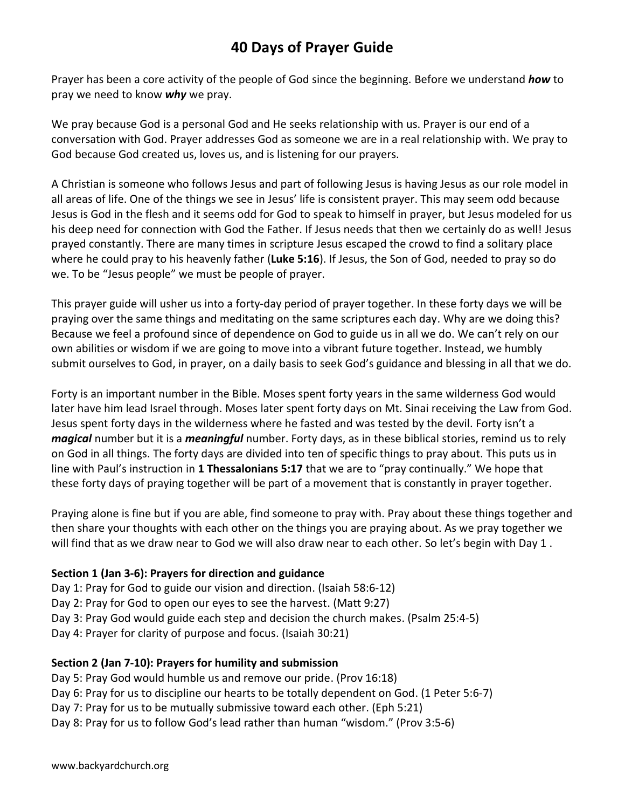# **40 Days of Prayer Guide**

Prayer has been a core activity of the people of God since the beginning. Before we understand *how* to pray we need to know *why* we pray.

We pray because God is a personal God and He seeks relationship with us. Prayer is our end of a conversation with God. Prayer addresses God as someone we are in a real relationship with. We pray to God because God created us, loves us, and is listening for our prayers.

A Christian is someone who follows Jesus and part of following Jesus is having Jesus as our role model in all areas of life. One of the things we see in Jesus' life is consistent prayer. This may seem odd because Jesus is God in the flesh and it seems odd for God to speak to himself in prayer, but Jesus modeled for us his deep need for connection with God the Father. If Jesus needs that then we certainly do as well! Jesus prayed constantly. There are many times in scripture Jesus escaped the crowd to find a solitary place where he could pray to his heavenly father (**Luke 5:16**). If Jesus, the Son of God, needed to pray so do we. To be "Jesus people" we must be people of prayer.

This prayer guide will usher us into a forty-day period of prayer together. In these forty days we will be praying over the same things and meditating on the same scriptures each day. Why are we doing this? Because we feel a profound since of dependence on God to guide us in all we do. We can't rely on our own abilities or wisdom if we are going to move into a vibrant future together. Instead, we humbly submit ourselves to God, in prayer, on a daily basis to seek God's guidance and blessing in all that we do.

Forty is an important number in the Bible. Moses spent forty years in the same wilderness God would later have him lead Israel through. Moses later spent forty days on Mt. Sinai receiving the Law from God. Jesus spent forty days in the wilderness where he fasted and was tested by the devil. Forty isn't a *magical* number but it is a *meaningful* number. Forty days, as in these biblical stories, remind us to rely on God in all things. The forty days are divided into ten of specific things to pray about. This puts us in line with Paul's instruction in **1 Thessalonians 5:17** that we are to "pray continually." We hope that these forty days of praying together will be part of a movement that is constantly in prayer together.

Praying alone is fine but if you are able, find someone to pray with. Pray about these things together and then share your thoughts with each other on the things you are praying about. As we pray together we will find that as we draw near to God we will also draw near to each other. So let's begin with Day 1.

#### **Section 1 (Jan 3-6): Prayers for direction and guidance**

Day 1: Pray for God to guide our vision and direction. (Isaiah 58:6-12) Day 2: Pray for God to open our eyes to see the harvest. (Matt 9:27) Day 3: Pray God would guide each step and decision the church makes. (Psalm 25:4-5) Day 4: Prayer for clarity of purpose and focus. (Isaiah 30:21)

## **Section 2 (Jan 7-10): Prayers for humility and submission**

Day 5: Pray God would humble us and remove our pride. (Prov 16:18) Day 6: Pray for us to discipline our hearts to be totally dependent on God. (1 Peter 5:6-7) Day 7: Pray for us to be mutually submissive toward each other. (Eph 5:21) Day 8: Pray for us to follow God's lead rather than human "wisdom." (Prov 3:5-6)